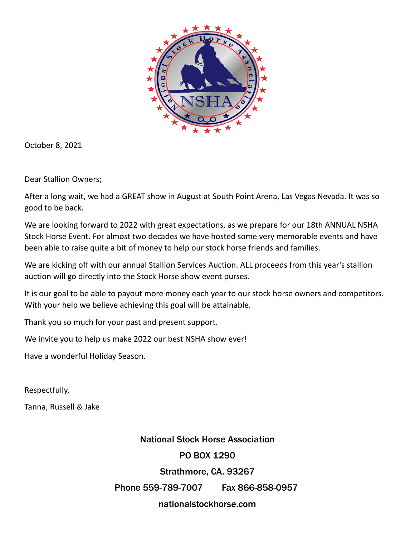

October 8, 2021

Dear Stallion Owners;

After a long wait, we had a GREAT show in August at South Point Arena, Las Vegas Nevada. It was so good to be back.

We are looking forward to 2022 with great expectations, as we prepare for our 18th ANNUAL NSHA Stock Horse Event. For almost two decades we have hosted some very memorable events and have been able to raise quite a bit of money to help our stock horse friends and families.

We are kicking off with our annual Stallion Services Auction. ALL proceeds from this year's stallion auction will go directly into the Stock Horse show event purses.

It is our goal to be able to payout more money each year to our stock horse owners and competitors. With your help we believe achieving this goal will be attainable.

Thank you so much for your past and present support.

We invite you to help us make 2022 our best NSHA show ever!

Have a wonderful Holiday Season.

Respectfully,

Tanna, Russell & Jake

National Stock Horse Association PO BOX 1290 Strathmore, CA. 93267 Phone 559-789-7007 Fax 866-858-0957 nationalstockhorse.com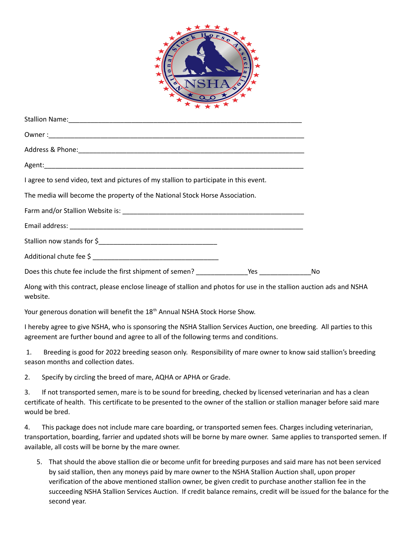

| I agree to send video, text and pictures of my stallion to participate in this event. |      |
|---------------------------------------------------------------------------------------|------|
| The media will become the property of the National Stock Horse Association.           |      |
|                                                                                       |      |
|                                                                                       |      |
|                                                                                       |      |
|                                                                                       |      |
|                                                                                       | – No |
|                                                                                       |      |

Along with this contract, please enclose lineage of stallion and photos for use in the stallion auction ads and NSHA website.

Your generous donation will benefit the 18<sup>th</sup> Annual NSHA Stock Horse Show.

I hereby agree to give NSHA, who is sponsoring the NSHA Stallion Services Auction, one breeding. All parties to this agreement are further bound and agree to all of the following terms and conditions.

 1. Breeding is good for 2022 breeding season only. Responsibility of mare owner to know said stallion's breeding season months and collection dates.

2. Specify by circling the breed of mare, AQHA or APHA or Grade.

3. If not transported semen, mare is to be sound for breeding, checked by licensed veterinarian and has a clean certificate of health. This certificate to be presented to the owner of the stallion or stallion manager before said mare would be bred.

4. This package does not include mare care boarding, or transported semen fees. Charges including veterinarian, transportation, boarding, farrier and updated shots will be borne by mare owner. Same applies to transported semen. If available, all costs will be borne by the mare owner.

5. That should the above stallion die or become unfit for breeding purposes and said mare has not been serviced by said stallion, then any moneys paid by mare owner to the NSHA Stallion Auction shall, upon proper verification of the above mentioned stallion owner, be given credit to purchase another stallion fee in the succeeding NSHA Stallion Services Auction. If credit balance remains, credit will be issued for the balance for the second year.